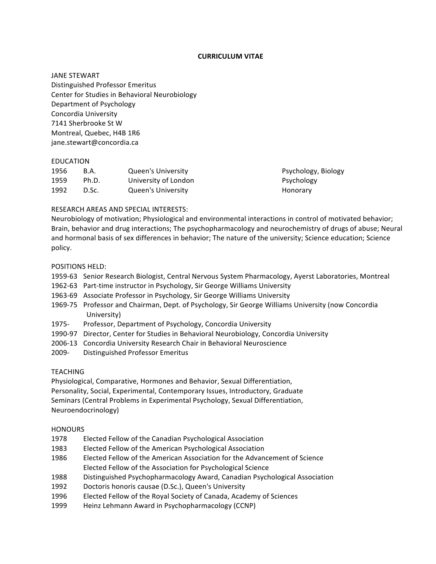## **CURRICULUM VITAE**

**JANE STEWART** Distinguished Professor Emeritus Center for Studies in Behavioral Neurobiology Department of Psychology Concordia University 7141 Sherbrooke St W Montreal, Quebec, H4B 1R6 jane.stewart@concordia.ca

## EDUCATION

| 1956 | B.A.  | <b>Queen's University</b> |
|------|-------|---------------------------|
| 1959 | Ph.D. | University of London      |
| 1992 | D.Sc. | <b>Queen's University</b> |

Psychology, Biology Psychology Honorary

## RESEARCH AREAS AND SPECIAL INTERESTS:

Neurobiology of motivation; Physiological and environmental interactions in control of motivated behavior; Brain, behavior and drug interactions; The psychopharmacology and neurochemistry of drugs of abuse; Neural and hormonal basis of sex differences in behavior; The nature of the university; Science education; Science policy.

## POSITIONS HELD:

- 1959-63 Senior Research Biologist, Central Nervous System Pharmacology, Ayerst Laboratories, Montreal
- 1962-63 Part-time instructor in Psychology, Sir George Williams University
- 1963-69 Associate Professor in Psychology, Sir George Williams University
- 1969-75 Professor and Chairman, Dept. of Psychology, Sir George Williams University (now Concordia University)
- 1975- Professor, Department of Psychology, Concordia University
- 1990-97 Director, Center for Studies in Behavioral Neurobiology, Concordia University
- 2006-13 Concordia University Research Chair in Behavioral Neuroscience
- 2009- Distinguished Professor Emeritus

# TEACHING

Physiological, Comparative, Hormones and Behavior, Sexual Differentiation, Personality, Social, Experimental, Contemporary Issues, Introductory, Graduate Seminars (Central Problems in Experimental Psychology, Sexual Differentiation, Neuroendocrinology)

## **HONOURS**

- 1978 Elected Fellow of the Canadian Psychological Association
- 1983 Elected Fellow of the American Psychological Association
- 1986 Elected Fellow of the American Association for the Advancement of Science Elected Fellow of the Association for Psychological Science
- 1988 Distinguished Psychopharmacology Award, Canadian Psychological Association
- 1992 Doctoris honoris causae (D.Sc.), Queen's University
- 1996 Elected Fellow of the Royal Society of Canada, Academy of Sciences
- 1999 Heinz Lehmann Award in Psychopharmacology (CCNP)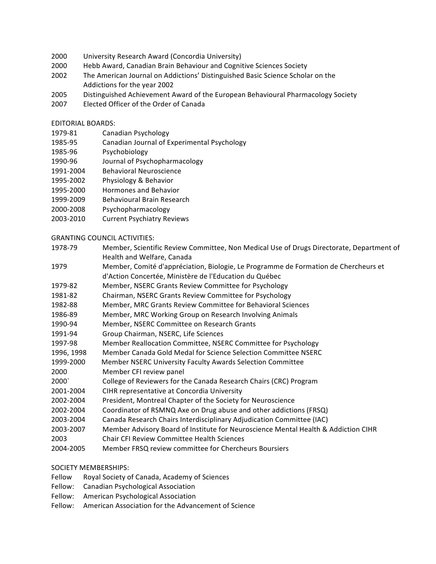- 2000 University Research Award (Concordia University)
- 2000 Hebb Award, Canadian Brain Behaviour and Cognitive Sciences Society
- 2002 The American Journal on Addictions' Distinguished Basic Science Scholar on the Addictions for the year 2002
- 2005 Distinguished Achievement Award of the European Behavioural Pharmacology Society
- 2007 Elected Officer of the Order of Canada

## EDITORIAL BOARDS:

- 1979-81 Canadian Psychology
- 1985-95 Canadian Journal of Experimental Psychology
- 1985-96 Psychobiology
- 1990-96 Journal of Psychopharmacology
- 1991-2004 Behavioral Neuroscience
- 1995-2002 Physiology & Behavior
- 1995-2000 Hormones and Behavior
- 1999-2009 Behavioural Brain Research
- 2000-2008 Psychopharmacology
- 2003-2010 Current Psychiatry Reviews

## **GRANTING COUNCIL ACTIVITIES:**

- 1978-79 Member, Scientific Review Committee, Non Medical Use of Drugs Directorate, Department of Health and Welfare, Canada
- 1979 Member, Comité d'appréciation, Biologie, Le Programme de Formation de Chercheurs et d'Action Concertée, Ministère de l'Education du Québec
- 1979-82 Member, NSERC Grants Review Committee for Psychology
- 1981-82 Chairman, NSERC Grants Review Committee for Psychology
- 1982-88 Member, MRC Grants Review Committee for Behavioral Sciences
- 1986-89 Member, MRC Working Group on Research Involving Animals
- 1990-94 Member, NSERC Committee on Research Grants
- 1991-94 Group Chairman, NSERC, Life Sciences
- 1997-98 Member Reallocation Committee, NSERC Committee for Psychology
- 1996, 1998 Member Canada Gold Medal for Science Selection Committee NSERC
- 1999-2000 Member NSERC University Faculty Awards Selection Committee
- 2000 Member CFI review panel
- 2000` College of Reviewers for the Canada Research Chairs (CRC) Program
- 2001-2004 CIHR representative at Concordia University
- 2002-2004 President, Montreal Chapter of the Society for Neuroscience
- 2002-2004 Coordinator of RSMNQ Axe on Drug abuse and other addictions (FRSQ)
- 2003-2004 Canada Research Chairs Interdisciplinary Adjudication Committee (IAC)
- 2003-2007 Member Advisory Board of Institute for Neuroscience Mental Health & Addiction CIHR
- 2003 Chair CFI Review Committee Health Sciences
- 2004-2005 Member FRSQ review committee for Chercheurs Boursiers

# SOCIETY MEMBERSHIPS:

- Fellow Royal Society of Canada, Academy of Sciences
- Fellow: Canadian Psychological Association
- Fellow: American Psychological Association
- Fellow: American Association for the Advancement of Science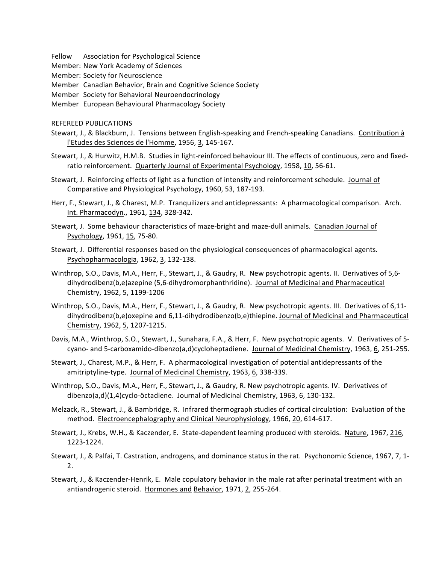Fellow Association for Psychological Science

Member: New York Academy of Sciences

Member: Society for Neuroscience

Member Canadian Behavior, Brain and Cognitive Science Society

Member Society for Behavioral Neuroendocrinology

Member European Behavioural Pharmacology Society

REFEREED PUBLICATIONS

- Stewart, J., & Blackburn, J. Tensions between English-speaking and French-speaking Canadians. Contribution à l'Etudes des Sciences de l'Homme, 1956, 3, 145-167.
- Stewart, J., & Hurwitz, H.M.B. Studies in light-reinforced behaviour III. The effects of continuous, zero and fixedratio reinforcement. Quarterly Journal of Experimental Psychology, 1958, 10, 56-61.
- Stewart, J. Reinforcing effects of light as a function of intensity and reinforcement schedule. Journal of Comparative and Physiological Psychology, 1960, 53, 187-193.

Herr, F., Stewart, J., & Charest, M.P. Tranquilizers and antidepressants: A pharmacological comparison. Arch. Int. Pharmacodyn., 1961, 134, 328-342.

Stewart, J. Some behaviour characteristics of maze-bright and maze-dull animals. Canadian Journal of Psychology, 1961, 15, 75-80.

- Stewart, J. Differential responses based on the physiological consequences of pharmacological agents. Psychopharmacologia, 1962, 3, 132-138.
- Winthrop, S.O., Davis, M.A., Herr, F., Stewart, J., & Gaudry, R. New psychotropic agents. II. Derivatives of 5,6dihydrodibenz(b,e)azepine (5,6-dihydromorphanthridine). Journal of Medicinal and Pharmaceutical Chemistry, 1962, 5, 1199-1206
- Winthrop, S.O., Davis, M.A., Herr, F., Stewart, J., & Gaudry, R. New psychotropic agents. III. Derivatives of 6,11dihydrodibenz(b,e)oxepine and 6,11-dihydrodibenzo(b,e)thiepine. Journal of Medicinal and Pharmaceutical Chemistry, 1962, 5, 1207-1215.
- Davis, M.A., Winthrop, S.O., Stewart, J., Sunahara, F.A., & Herr, F. New psychotropic agents. V. Derivatives of 5cyano- and 5-carboxamido-dibenzo(a,d)cycloheptadiene. Journal of Medicinal Chemistry, 1963, 6, 251-255.
- Stewart, J., Charest, M.P., & Herr, F. A pharmacological investigation of potential antidepressants of the amitriptyline-type. Journal of Medicinal Chemistry, 1963, 6, 338-339.
- Winthrop, S.O., Davis, M.A., Herr, F., Stewart, J., & Gaudry, R. New psychotropic agents. IV. Derivatives of dibenzo(a,d)(1,4)cyclo-öctadiene. Journal of Medicinal Chemistry, 1963, 6, 130-132.
- Melzack, R., Stewart, J., & Bambridge, R. Infrared thermograph studies of cortical circulation: Evaluation of the method. Electroencephalography and Clinical Neurophysiology, 1966, 20, 614-617.
- Stewart, J., Krebs, W.H., & Kaczender, E. State-dependent learning produced with steroids. Nature, 1967, 216, 1223-1224.
- Stewart, J., & Palfai, T. Castration, androgens, and dominance status in the rat. Psychonomic Science, 1967, 7, 1-2.
- Stewart, J., & Kaczender-Henrik, E. Male copulatory behavior in the male rat after perinatal treatment with an antiandrogenic steroid. Hormones and Behavior, 1971, 2, 255-264.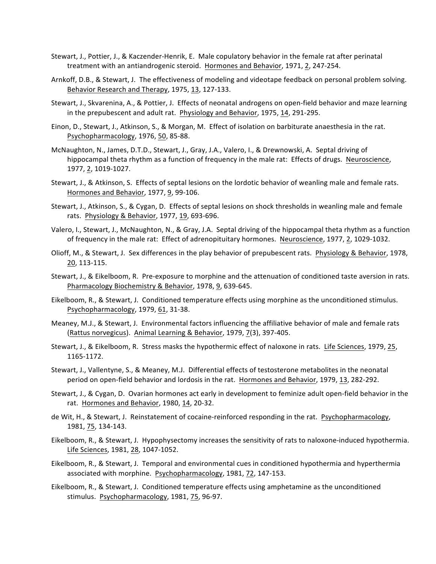- Stewart, J., Pottier, J., & Kaczender-Henrik, E. Male copulatory behavior in the female rat after perinatal treatment with an antiandrogenic steroid. Hormones and Behavior, 1971, 2, 247-254.
- Arnkoff, D.B., & Stewart, J. The effectiveness of modeling and videotape feedback on personal problem solving. Behavior Research and Therapy, 1975, 13, 127-133.
- Stewart, J., Skvarenina, A., & Pottier, J. Effects of neonatal androgens on open-field behavior and maze learning in the prepubescent and adult rat. Physiology and Behavior, 1975, 14, 291-295.
- Einon, D., Stewart, J., Atkinson, S., & Morgan, M. Effect of isolation on barbiturate anaesthesia in the rat. Psychopharmacology, 1976, 50, 85-88.
- McNaughton, N., James, D.T.D., Stewart, J., Gray, J.A., Valero, I., & Drewnowski, A. Septal driving of hippocampal theta rhythm as a function of frequency in the male rat: Effects of drugs. Neuroscience, 1977, 2, 1019-1027.
- Stewart, J., & Atkinson, S. Effects of septal lesions on the lordotic behavior of weanling male and female rats. Hormones and Behavior, 1977, 9, 99-106.
- Stewart, J., Atkinson, S., & Cygan, D. Effects of septal lesions on shock thresholds in weanling male and female rats. Physiology & Behavior, 1977, 19, 693-696.
- Valero, I., Stewart, J., McNaughton, N., & Gray, J.A. Septal driving of the hippocampal theta rhythm as a function of frequency in the male rat: Effect of adrenopituitary hormones. Neuroscience, 1977, 2, 1029-1032.
- Olioff, M., & Stewart, J. Sex differences in the play behavior of prepubescent rats. Physiology & Behavior, 1978, 20, 113-115.
- Stewart, J., & Eikelboom, R. Pre-exposure to morphine and the attenuation of conditioned taste aversion in rats. Pharmacology Biochemistry & Behavior, 1978, 9, 639-645.
- Eikelboom, R., & Stewart, J. Conditioned temperature effects using morphine as the unconditioned stimulus. Psychopharmacology, 1979, 61, 31-38.
- Meaney, M.J., & Stewart, J. Environmental factors influencing the affiliative behavior of male and female rats (Rattus norvegicus). Animal Learning & Behavior, 1979, 7(3), 397-405.
- Stewart, J., & Eikelboom, R. Stress masks the hypothermic effect of naloxone in rats. Life Sciences, 1979, 25, 1165-1172.
- Stewart, J., Vallentyne, S., & Meaney, M.J. Differential effects of testosterone metabolites in the neonatal period on open-field behavior and lordosis in the rat. Hormones and Behavior, 1979, 13, 282-292.
- Stewart, J., & Cygan, D. Ovarian hormones act early in development to feminize adult open-field behavior in the rat. Hormones and Behavior, 1980, 14, 20-32.
- de Wit, H., & Stewart, J. Reinstatement of cocaine-reinforced responding in the rat. Psychopharmacology, 1981, 75, 134-143.
- Eikelboom, R., & Stewart, J. Hypophysectomy increases the sensitivity of rats to naloxone-induced hypothermia. Life Sciences, 1981, 28, 1047-1052.
- Eikelboom, R., & Stewart, J. Temporal and environmental cues in conditioned hypothermia and hyperthermia associated with morphine. Psychopharmacology, 1981, 72, 147-153.
- Eikelboom, R., & Stewart, J. Conditioned temperature effects using amphetamine as the unconditioned stimulus. Psychopharmacology, 1981, 75, 96-97.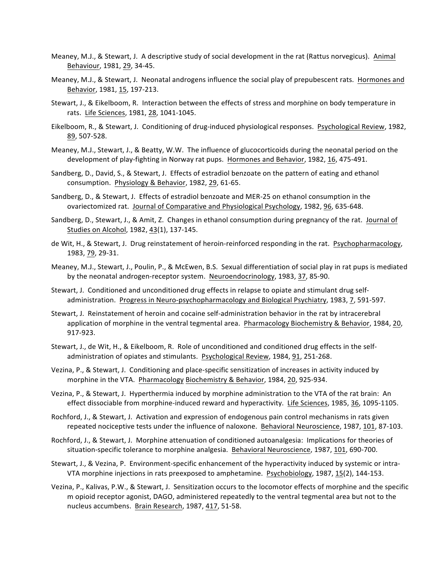- Meaney, M.J., & Stewart, J. A descriptive study of social development in the rat (Rattus norvegicus). Animal Behaviour, 1981, 29, 34-45.
- Meaney, M.J., & Stewart, J. Neonatal androgens influence the social play of prepubescent rats. Hormones and Behavior, 1981, 15, 197-213.
- Stewart, J., & Eikelboom, R. Interaction between the effects of stress and morphine on body temperature in rats. Life Sciences, 1981, 28, 1041-1045.
- Eikelboom, R., & Stewart, J. Conditioning of drug-induced physiological responses. Psychological Review, 1982, 89, 507-528.
- Meaney, M.J., Stewart, J., & Beatty, W.W. The influence of glucocorticoids during the neonatal period on the development of play-fighting in Norway rat pups. Hormones and Behavior, 1982, 16, 475-491.
- Sandberg, D., David, S., & Stewart, J. Effects of estradiol benzoate on the pattern of eating and ethanol consumption. Physiology & Behavior, 1982, 29, 61-65.
- Sandberg, D., & Stewart, J. Effects of estradiol benzoate and MER-25 on ethanol consumption in the ovariectomized rat. Journal of Comparative and Physiological Psychology, 1982, 96, 635-648.
- Sandberg, D., Stewart, J., & Amit, Z. Changes in ethanol consumption during pregnancy of the rat. Journal of Studies on Alcohol, 1982, 43(1), 137-145.
- de Wit, H., & Stewart, J. Drug reinstatement of heroin-reinforced responding in the rat. Psychopharmacology, 1983, 79, 29-31.
- Meaney, M.J., Stewart, J., Poulin, P., & McEwen, B.S. Sexual differentiation of social play in rat pups is mediated by the neonatal androgen-receptor system. Neuroendocrinology, 1983, 37, 85-90.
- Stewart, J. Conditioned and unconditioned drug effects in relapse to opiate and stimulant drug selfadministration. Progress in Neuro-psychopharmacology and Biological Psychiatry, 1983, 7, 591-597.
- Stewart, J. Reinstatement of heroin and cocaine self-administration behavior in the rat by intracerebral application of morphine in the ventral tegmental area. Pharmacology Biochemistry & Behavior, 1984, 20, 917-923.
- Stewart, J., de Wit, H., & Eikelboom, R. Role of unconditioned and conditioned drug effects in the selfadministration of opiates and stimulants. Psychological Review, 1984, 91, 251-268.
- Vezina, P., & Stewart, J. Conditioning and place-specific sensitization of increases in activity induced by morphine in the VTA. Pharmacology Biochemistry & Behavior, 1984, 20, 925-934.
- Vezina, P., & Stewart, J. Hyperthermia induced by morphine administration to the VTA of the rat brain: An effect dissociable from morphine-induced reward and hyperactivity. Life Sciences, 1985, 36, 1095-1105.
- Rochford, J., & Stewart, J. Activation and expression of endogenous pain control mechanisms in rats given repeated nociceptive tests under the influence of naloxone. Behavioral Neuroscience, 1987, 101, 87-103.
- Rochford, J., & Stewart, J. Morphine attenuation of conditioned autoanalgesia: Implications for theories of situation-specific tolerance to morphine analgesia. Behavioral Neuroscience, 1987, 101, 690-700.
- Stewart, J., & Vezina, P. Environment-specific enhancement of the hyperactivity induced by systemic or intra-VTA morphine injections in rats preexposed to amphetamine. Psychobiology, 1987, 15(2), 144-153.
- Vezina, P., Kalivas, P.W., & Stewart, J. Sensitization occurs to the locomotor effects of morphine and the specific m opioid receptor agonist, DAGO, administered repeatedly to the ventral tegmental area but not to the nucleus accumbens. Brain Research, 1987, 417, 51-58.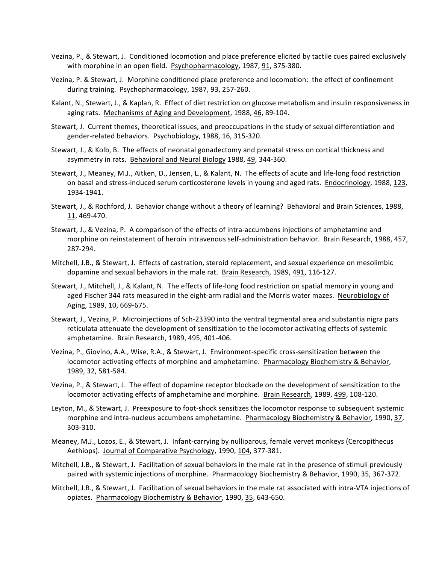- Vezina, P., & Stewart, J. Conditioned locomotion and place preference elicited by tactile cues paired exclusively with morphine in an open field. Psychopharmacology, 1987, 91, 375-380.
- Vezina, P. & Stewart, J. Morphine conditioned place preference and locomotion: the effect of confinement during training. Psychopharmacology, 1987, 93, 257-260.
- Kalant, N., Stewart, J., & Kaplan, R. Effect of diet restriction on glucose metabolism and insulin responsiveness in aging rats. Mechanisms of Aging and Development, 1988, 46, 89-104.
- Stewart, J. Current themes, theoretical issues, and preoccupations in the study of sexual differentiation and gender-related behaviors. Psychobiology, 1988, 16, 315-320.
- Stewart, J., & Kolb, B. The effects of neonatal gonadectomy and prenatal stress on cortical thickness and asymmetry in rats. Behavioral and Neural Biology 1988, 49, 344-360.
- Stewart, J., Meaney, M.J., Aitken, D., Jensen, L., & Kalant, N. The effects of acute and life-long food restriction on basal and stress-induced serum corticosterone levels in young and aged rats. Endocrinology, 1988, 123, 1934-1941.
- Stewart, J., & Rochford, J. Behavior change without a theory of learning? Behavioral and Brain Sciences, 1988, 11, 469-470.
- Stewart, J., & Vezina, P. A comparison of the effects of intra-accumbens injections of amphetamine and morphine on reinstatement of heroin intravenous self-administration behavior. Brain Research, 1988, 457, 287-294.
- Mitchell, J.B., & Stewart, J. Effects of castration, steroid replacement, and sexual experience on mesolimbic dopamine and sexual behaviors in the male rat. Brain Research, 1989, 491, 116-127.
- Stewart, J., Mitchell, J., & Kalant, N. The effects of life-long food restriction on spatial memory in young and aged Fischer 344 rats measured in the eight-arm radial and the Morris water mazes. Neurobiology of Aging, 1989, 10, 669-675.
- Stewart, J., Vezina, P. Microinjections of Sch-23390 into the ventral tegmental area and substantia nigra pars reticulata attenuate the development of sensitization to the locomotor activating effects of systemic amphetamine. Brain Research, 1989, 495, 401-406.
- Vezina, P., Giovino, A.A., Wise, R.A., & Stewart, J. Environment-specific cross-sensitization between the locomotor activating effects of morphine and amphetamine. Pharmacology Biochemistry & Behavior, 1989, 32, 581-584.
- Vezina, P., & Stewart, J. The effect of dopamine receptor blockade on the development of sensitization to the locomotor activating effects of amphetamine and morphine. Brain Research, 1989, 499, 108-120.
- Leyton, M., & Stewart, J. Preexposure to foot-shock sensitizes the locomotor response to subsequent systemic morphine and intra-nucleus accumbens amphetamine. Pharmacology Biochemistry & Behavior, 1990, 37, 303-310.
- Meaney, M.J., Lozos, E., & Stewart, J. Infant-carrying by nulliparous, female vervet monkeys (Cercopithecus Aethiops). Journal of Comparative Psychology, 1990, 104, 377-381.
- Mitchell, J.B., & Stewart, J. Facilitation of sexual behaviors in the male rat in the presence of stimuli previously paired with systemic injections of morphine. Pharmacology Biochemistry & Behavior, 1990, 35, 367-372.
- Mitchell, J.B., & Stewart, J. Facilitation of sexual behaviors in the male rat associated with intra-VTA injections of opiates. Pharmacology Biochemistry & Behavior, 1990, 35, 643-650.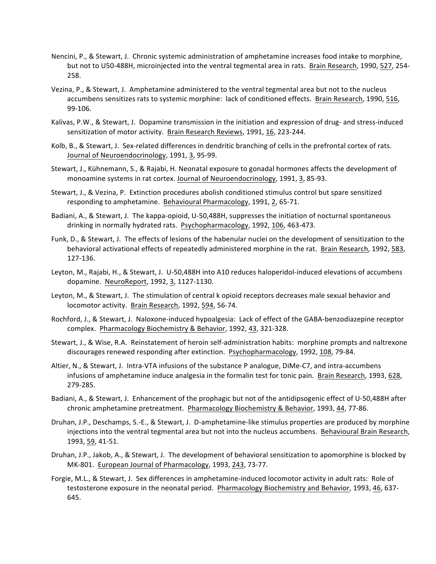- Nencini, P., & Stewart, J. Chronic systemic administration of amphetamine increases food intake to morphine, but not to U50-488H, microinjected into the ventral tegmental area in rats. Brain Research, 1990, 527, 254-258.
- Vezina, P., & Stewart, J. Amphetamine administered to the ventral tegmental area but not to the nucleus accumbens sensitizes rats to systemic morphine: lack of conditioned effects. Brain Research, 1990, 516, 99-106.
- Kalivas, P.W., & Stewart, J. Dopamine transmission in the initiation and expression of drug- and stress-induced sensitization of motor activity. Brain Research Reviews, 1991, 16, 223-244.
- Kolb, B., & Stewart, J. Sex-related differences in dendritic branching of cells in the prefrontal cortex of rats. Journal of Neuroendocrinology, 1991, 3, 95-99.
- Stewart, J., Kühnemann, S., & Rajabi, H. Neonatal exposure to gonadal hormones affects the development of monoamine systems in rat cortex. Journal of Neuroendocrinology, 1991, 3, 85-93.
- Stewart, J., & Vezina, P. Extinction procedures abolish conditioned stimulus control but spare sensitized responding to amphetamine. Behavioural Pharmacology, 1991, 2, 65-71.
- Badiani, A., & Stewart, J. The kappa-opioid, U-50,488H, suppresses the initiation of nocturnal spontaneous drinking in normally hydrated rats. Psychopharmacology, 1992, 106, 463-473.
- Funk, D., & Stewart, J. The effects of lesions of the habenular nuclei on the development of sensitization to the behavioral activational effects of repeatedly administered morphine in the rat. Brain Research, 1992, 583, 127-136.
- Leyton, M., Rajabi, H., & Stewart, J. U-50,488H into A10 reduces haloperidol-induced elevations of accumbens dopamine. NeuroReport, 1992, 3, 1127-1130.
- Leyton, M., & Stewart, J. The stimulation of central k opioid receptors decreases male sexual behavior and locomotor activity. Brain Research, 1992, 594, 56-74.
- Rochford, J., & Stewart, J. Naloxone-induced hypoalgesia: Lack of effect of the GABA-benzodiazepine receptor complex. Pharmacology Biochemistry & Behavior, 1992, 43, 321-328.
- Stewart, J., & Wise, R.A. Reinstatement of heroin self-administration habits: morphine prompts and naltrexone discourages renewed responding after extinction. Psychopharmacology, 1992, 108, 79-84.
- Altier, N., & Stewart, J. Intra-VTA infusions of the substance P analogue, DiMe-C7, and intra-accumbens infusions of amphetamine induce analgesia in the formalin test for tonic pain. Brain Research, 1993, 628, 279-285.
- Badiani, A., & Stewart, J. Enhancement of the prophagic but not of the antidipsogenic effect of U-50,488H after chronic amphetamine pretreatment. Pharmacology Biochemistry & Behavior, 1993, 44, 77-86.
- Druhan, J.P., Deschamps, S.-E., & Stewart, J. D-amphetamine-like stimulus properties are produced by morphine injections into the ventral tegmental area but not into the nucleus accumbens. Behavioural Brain Research, 1993, 59, 41-51.
- Druhan, J.P., Jakob, A., & Stewart, J. The development of behavioral sensitization to apomorphine is blocked by MK-801. European Journal of Pharmacology, 1993, 243, 73-77.
- Forgie, M.L., & Stewart, J. Sex differences in amphetamine-induced locomotor activity in adult rats: Role of testosterone exposure in the neonatal period. Pharmacology Biochemistry and Behavior, 1993, 46, 637-645.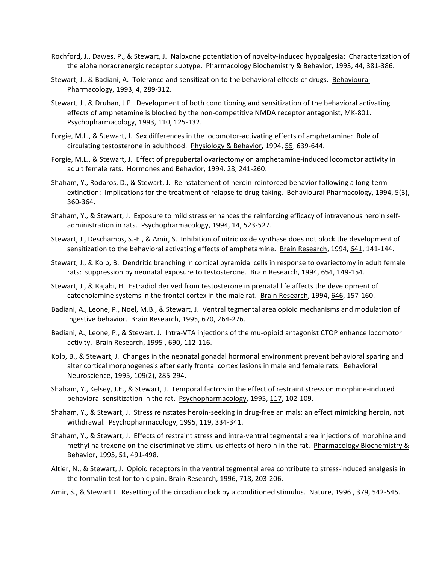- Rochford, J., Dawes, P., & Stewart, J. Naloxone potentiation of novelty-induced hypoalgesia: Characterization of the alpha noradrenergic receptor subtype. Pharmacology Biochemistry & Behavior, 1993, 44, 381-386.
- Stewart, J., & Badiani, A. Tolerance and sensitization to the behavioral effects of drugs. Behavioural Pharmacology, 1993, 4, 289-312.
- Stewart, J., & Druhan, J.P. Development of both conditioning and sensitization of the behavioral activating effects of amphetamine is blocked by the non-competitive NMDA receptor antagonist, MK-801. Psychopharmacology, 1993, 110, 125-132.
- Forgie, M.L., & Stewart, J. Sex differences in the locomotor-activating effects of amphetamine: Role of circulating testosterone in adulthood. Physiology & Behavior, 1994, 55, 639-644.
- Forgie, M.L., & Stewart, J. Effect of prepubertal ovariectomy on amphetamine-induced locomotor activity in adult female rats. Hormones and Behavior, 1994, 28, 241-260.
- Shaham, Y., Rodaros, D., & Stewart, J. Reinstatement of heroin-reinforced behavior following a long-term extinction: Implications for the treatment of relapse to drug-taking. Behavioural Pharmacology, 1994, 5(3), 360-364.
- Shaham, Y., & Stewart, J. Exposure to mild stress enhances the reinforcing efficacy of intravenous heroin selfadministration in rats. Psychopharmacology, 1994, 14, 523-527.
- Stewart, J., Deschamps, S.-E., & Amir, S. Inhibition of nitric oxide synthase does not block the development of sensitization to the behavioral activating effects of amphetamine. Brain Research, 1994, 641, 141-144.
- Stewart, J., & Kolb, B. Dendritic branching in cortical pyramidal cells in response to ovariectomy in adult female rats: suppression by neonatal exposure to testosterone. Brain Research, 1994, 654, 149-154.
- Stewart, J., & Rajabi, H. Estradiol derived from testosterone in prenatal life affects the development of catecholamine systems in the frontal cortex in the male rat. Brain Research, 1994, 646, 157-160.
- Badiani, A., Leone, P., Noel, M.B., & Stewart, J. Ventral tegmental area opioid mechanisms and modulation of ingestive behavior. Brain Research, 1995, 670, 264-276.
- Badiani, A., Leone, P., & Stewart, J. Intra-VTA injections of the mu-opioid antagonist CTOP enhance locomotor activity. Brain Research, 1995, 690, 112-116.
- Kolb, B., & Stewart, J. Changes in the neonatal gonadal hormonal environment prevent behavioral sparing and alter cortical morphogenesis after early frontal cortex lesions in male and female rats. Behavioral Neuroscience, 1995, 109(2), 285-294.
- Shaham, Y., Kelsey, J.E., & Stewart, J. Temporal factors in the effect of restraint stress on morphine-induced behavioral sensitization in the rat. Psychopharmacology, 1995, 117, 102-109.
- Shaham, Y., & Stewart, J. Stress reinstates heroin-seeking in drug-free animals: an effect mimicking heroin, not withdrawal. Psychopharmacology, 1995, 119, 334-341.
- Shaham, Y., & Stewart, J. Effects of restraint stress and intra-ventral tegmental area injections of morphine and methyl naltrexone on the discriminative stimulus effects of heroin in the rat. Pharmacology Biochemistry & Behavior, 1995, 51, 491-498.
- Altier, N., & Stewart, J. Opioid receptors in the ventral tegmental area contribute to stress-induced analgesia in the formalin test for tonic pain. Brain Research, 1996, 718, 203-206.

Amir, S., & Stewart J. Resetting of the circadian clock by a conditioned stimulus. Nature, 1996, 379, 542-545.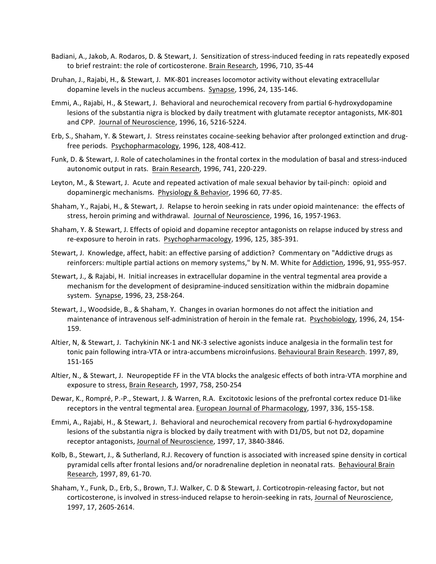- Badiani, A., Jakob, A. Rodaros, D. & Stewart, J. Sensitization of stress-induced feeding in rats repeatedly exposed to brief restraint: the role of corticosterone. Brain Research, 1996, 710, 35-44
- Druhan, J., Rajabi, H., & Stewart, J. MK-801 increases locomotor activity without elevating extracellular dopamine levels in the nucleus accumbens. Synapse, 1996, 24, 135-146.
- Emmi, A., Rajabi, H., & Stewart, J. Behavioral and neurochemical recovery from partial 6-hydroxydopamine lesions of the substantia nigra is blocked by daily treatment with glutamate receptor antagonists, MK-801 and CPP. Journal of Neuroscience, 1996, 16, 5216-5224.
- Erb, S., Shaham, Y. & Stewart, J. Stress reinstates cocaine-seeking behavior after prolonged extinction and drugfree periods. Psychopharmacology, 1996, 128, 408-412.
- Funk, D. & Stewart, J. Role of catecholamines in the frontal cortex in the modulation of basal and stress-induced autonomic output in rats. Brain Research, 1996, 741, 220-229.
- Leyton, M., & Stewart, J. Acute and repeated activation of male sexual behavior by tail-pinch: opioid and dopaminergic mechanisms. Physiology & Behavior, 1996 60, 77-85.
- Shaham, Y., Rajabi, H., & Stewart, J. Relapse to heroin seeking in rats under opioid maintenance: the effects of stress, heroin priming and withdrawal. Journal of Neuroscience, 1996, 16, 1957-1963.
- Shaham, Y. & Stewart, J. Effects of opioid and dopamine receptor antagonists on relapse induced by stress and re-exposure to heroin in rats. Psychopharmacology, 1996, 125, 385-391.
- Stewart, J. Knowledge, affect, habit: an effective parsing of addiction? Commentary on "Addictive drugs as reinforcers: multiple partial actions on memory systems," by N. M. White for Addiction, 1996, 91, 955-957.
- Stewart, J., & Rajabi, H. Initial increases in extracellular dopamine in the ventral tegmental area provide a mechanism for the development of desipramine-induced sensitization within the midbrain dopamine system. Synapse, 1996, 23, 258-264.
- Stewart, J., Woodside, B., & Shaham, Y. Changes in ovarian hormones do not affect the initiation and maintenance of intravenous self-administration of heroin in the female rat. Psychobiology, 1996, 24, 154-159.
- Altier, N, & Stewart, J. Tachykinin NK-1 and NK-3 selective agonists induce analgesia in the formalin test for tonic pain following intra-VTA or intra-accumbens microinfusions. Behavioural Brain Research. 1997, 89, 151-165
- Altier, N., & Stewart, J. Neuropeptide FF in the VTA blocks the analgesic effects of both intra-VTA morphine and exposure to stress, Brain Research, 1997, 758, 250-254
- Dewar, K., Rompré, P.-P., Stewart, J. & Warren, R.A. Excitotoxic lesions of the prefrontal cortex reduce D1-like receptors in the ventral tegmental area. European Journal of Pharmacology, 1997, 336, 155-158.
- Emmi, A., Rajabi, H., & Stewart, J. Behavioral and neurochemical recovery from partial 6-hydroxydopamine lesions of the substantia nigra is blocked by daily treatment with with D1/D5, but not D2, dopamine receptor antagonists, Journal of Neuroscience, 1997, 17, 3840-3846.
- Kolb, B., Stewart, J., & Sutherland, R.J. Recovery of function is associated with increased spine density in cortical pyramidal cells after frontal lesions and/or noradrenaline depletion in neonatal rats. Behavioural Brain Research, 1997, 89, 61-70.
- Shaham, Y., Funk, D., Erb, S., Brown, T.J. Walker, C. D & Stewart, J. Corticotropin-releasing factor, but not corticosterone, is involved in stress-induced relapse to heroin-seeking in rats, Journal of Neuroscience, 1997, 17, 2605-2614.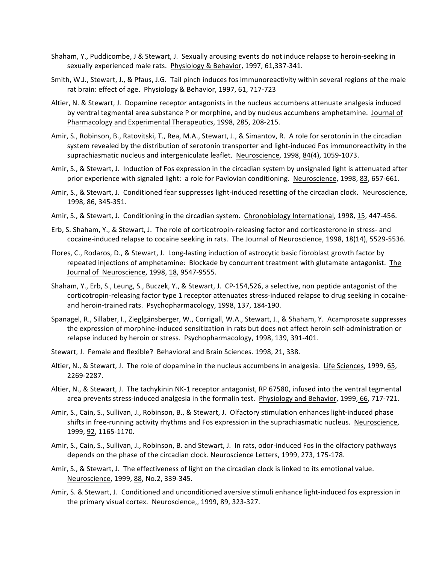- Shaham, Y., Puddicombe, J & Stewart, J. Sexually arousing events do not induce relapse to heroin-seeking in sexually experienced male rats. Physiology & Behavior, 1997, 61,337-341.
- Smith, W.J., Stewart, J., & Pfaus, J.G. Tail pinch induces fos immunoreactivity within several regions of the male rat brain: effect of age. Physiology & Behavior, 1997, 61, 717-723
- Altier, N. & Stewart, J. Dopamine receptor antagonists in the nucleus accumbens attenuate analgesia induced by ventral tegmental area substance P or morphine, and by nucleus accumbens amphetamine. Journal of Pharmacology and Experimental Therapeutics, 1998, 285, 208-215.
- Amir, S., Robinson, B., Ratovitski, T., Rea, M.A., Stewart, J., & Simantov, R. A role for serotonin in the circadian system revealed by the distribution of serotonin transporter and light-induced Fos immunoreactivity in the suprachiasmatic nucleus and intergeniculate leaflet. Neuroscience, 1998, 84(4), 1059-1073.
- Amir, S., & Stewart, J. Induction of Fos expression in the circadian system by unsignaled light is attenuated after prior experience with signaled light: a role for Pavlovian conditioning. Neuroscience, 1998, 83, 657-661.
- Amir, S., & Stewart, J. Conditioned fear suppresses light-induced resetting of the circadian clock. Neuroscience, 1998, 86, 345-351.
- Amir, S., & Stewart, J. Conditioning in the circadian system. Chronobiology International, 1998, 15, 447-456.
- Erb, S. Shaham, Y., & Stewart, J. The role of corticotropin-releasing factor and corticosterone in stress- and cocaine-induced relapse to cocaine seeking in rats. The Journal of Neuroscience, 1998, 18(14), 5529-5536.
- Flores, C., Rodaros, D., & Stewart, J. Long-lasting induction of astrocytic basic fibroblast growth factor by repeated injections of amphetamine: Blockade by concurrent treatment with glutamate antagonist. The Journal of Neuroscience, 1998, 18, 9547-9555.
- Shaham, Y., Erb, S., Leung, S., Buczek, Y., & Stewart, J. CP-154,526, a selective, non peptide antagonist of the corticotropin-releasing factor type 1 receptor attenuates stress-induced relapse to drug seeking in cocaineand heroin-trained rats. Psychopharmacology, 1998, 137, 184-190.
- Spanagel, R., Sillaber, I., Zieglgänsberger, W., Corrigall, W.A., Stewart, J., & Shaham, Y. Acamprosate suppresses the expression of morphine-induced sensitization in rats but does not affect heroin self-administration or relapse induced by heroin or stress. Psychopharmacology, 1998, 139, 391-401.
- Stewart, J. Female and flexible? Behavioral and Brain Sciences. 1998, 21, 338.
- Altier, N., & Stewart, J. The role of dopamine in the nucleus accumbens in analgesia. Life Sciences, 1999, 65, 2269-2287.
- Altier, N., & Stewart, J. The tachykinin NK-1 receptor antagonist, RP 67580, infused into the ventral tegmental area prevents stress-induced analgesia in the formalin test. Physiology and Behavior, 1999, 66, 717-721.
- Amir, S., Cain, S., Sullivan, J., Robinson, B., & Stewart, J. Olfactory stimulation enhances light-induced phase shifts in free-running activity rhythms and Fos expression in the suprachiasmatic nucleus. Neuroscience, 1999, 92, 1165-1170.
- Amir, S., Cain, S., Sullivan, J., Robinson, B. and Stewart, J. In rats, odor-induced Fos in the olfactory pathways depends on the phase of the circadian clock. Neuroscience Letters, 1999, 273, 175-178.
- Amir, S., & Stewart, J. The effectiveness of light on the circadian clock is linked to its emotional value. Neuroscience, 1999, 88, No.2, 339-345.
- Amir, S. & Stewart, J. Conditioned and unconditioned aversive stimuli enhance light-induced fos expression in the primary visual cortex. Neuroscience,, 1999, 89, 323-327.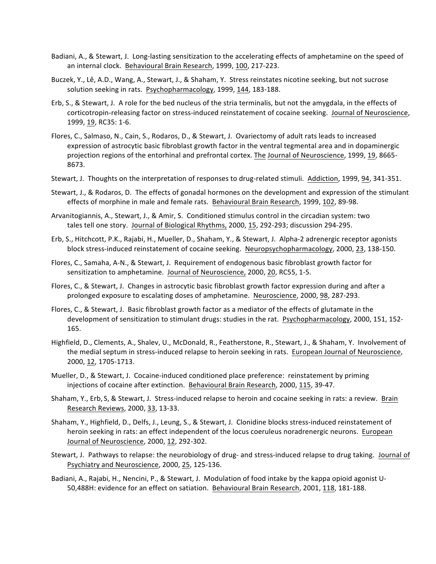- Badiani, A., & Stewart, J. Long-lasting sensitization to the accelerating effects of amphetamine on the speed of an internal clock. Behavioural Brain Research, 1999, 100, 217-223.
- Buczek, Y., Lê, A.D., Wang, A., Stewart, J., & Shaham, Y. Stress reinstates nicotine seeking, but not sucrose solution seeking in rats. Psychopharmacology, 1999, 144, 183-188.
- Erb, S., & Stewart, J. A role for the bed nucleus of the stria terminalis, but not the amygdala, in the effects of corticotropin-releasing factor on stress-induced reinstatement of cocaine seeking. Journal of Neuroscience, 1999, 19, RC35: 1-6.
- Flores, C., Salmaso, N., Cain, S., Rodaros, D., & Stewart, J. Ovariectomy of adult rats leads to increased expression of astrocytic basic fibroblast growth factor in the ventral tegmental area and in dopaminergic projection regions of the entorhinal and prefrontal cortex. The Journal of Neuroscience, 1999, 19, 8665-8673.
- Stewart, J. Thoughts on the interpretation of responses to drug-related stimuli. Addiction, 1999, 94, 341-351.
- Stewart, J., & Rodaros, D. The effects of gonadal hormones on the development and expression of the stimulant effects of morphine in male and female rats. Behavioural Brain Research, 1999, 102, 89-98.
- Arvanitogiannis, A., Stewart, J., & Amir, S. Conditioned stimulus control in the circadian system: two tales tell one story. Journal of Biological Rhythms, 2000, 15, 292-293; discussion 294-295.
- Erb, S., Hitchcott, P.K., Rajabi, H., Mueller, D., Shaham, Y., & Stewart, J. Alpha-2 adrenergic receptor agonists block stress-induced reinstatement of cocaine seeking. Neuropsychopharmacology, 2000, 23, 138-150.
- Flores, C., Samaha, A-N., & Stewart, J. Requirement of endogenous basic fibroblast growth factor for sensitization to amphetamine. Journal of Neuroscience, 2000, 20, RC55, 1-5.
- Flores, C., & Stewart, J. Changes in astrocytic basic fibroblast growth factor expression during and after a prolonged exposure to escalating doses of amphetamine. Neuroscience, 2000, 98, 287-293.
- Flores, C., & Stewart, J. Basic fibroblast growth factor as a mediator of the effects of glutamate in the development of sensitization to stimulant drugs: studies in the rat. Psychopharmacology, 2000, 151, 152-165.
- Highfield, D., Clements, A., Shalev, U., McDonald, R., Featherstone, R., Stewart, J., & Shaham, Y. Involvement of the medial septum in stress-induced relapse to heroin seeking in rats. European Journal of Neuroscience, 2000, 12, 1705-1713.
- Mueller, D., & Stewart, J. Cocaine-induced conditioned place preference: reinstatement by priming injections of cocaine after extinction. Behavioural Brain Research, 2000, 115, 39-47.
- Shaham, Y., Erb, S, & Stewart, J. Stress-induced relapse to heroin and cocaine seeking in rats: a review. Brain Research Reviews, 2000, 33, 13-33.
- Shaham, Y., Highfield, D., Delfs, J., Leung, S., & Stewart, J. Clonidine blocks stress-induced reinstatement of heroin seeking in rats: an effect independent of the locus coeruleus noradrenergic neurons. European Journal of Neuroscience, 2000, 12, 292-302.
- Stewart, J. Pathways to relapse: the neurobiology of drug- and stress-induced relapse to drug taking. Journal of Psychiatry and Neuroscience, 2000, 25, 125-136.
- Badiani, A., Rajabi, H., Nencini, P., & Stewart, J. Modulation of food intake by the kappa opioid agonist U-50,488H: evidence for an effect on satiation. Behavioural Brain Research, 2001, 118, 181-188.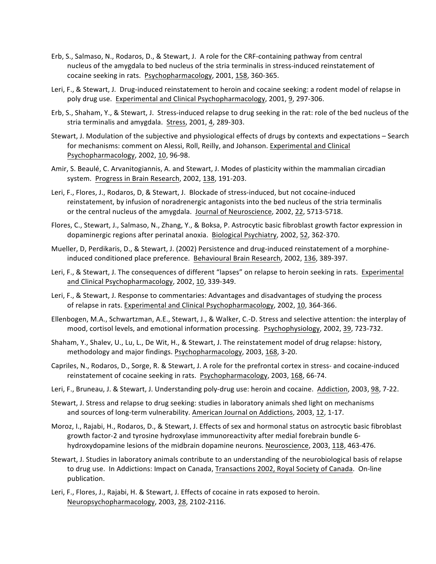- Erb, S., Salmaso, N., Rodaros, D., & Stewart, J. A role for the CRF-containing pathway from central nucleus of the amygdala to bed nucleus of the stria terminalis in stress-induced reinstatement of cocaine seeking in rats. Psychopharmacology, 2001, 158, 360-365.
- Leri, F., & Stewart, J. Drug-induced reinstatement to heroin and cocaine seeking: a rodent model of relapse in poly drug use. Experimental and Clinical Psychopharmacology, 2001, 9, 297-306.
- Erb, S., Shaham, Y., & Stewart, J. Stress-induced relapse to drug seeking in the rat: role of the bed nucleus of the stria terminalis and amygdala. Stress, 2001, 4, 289-303.
- Stewart, J. Modulation of the subjective and physiological effects of drugs by contexts and expectations Search for mechanisms: comment on Alessi, Roll, Reilly, and Johanson. Experimental and Clinical Psychopharmacology, 2002, 10, 96-98.
- Amir, S. Beaulé, C. Arvanitogiannis, A. and Stewart, J. Modes of plasticity within the mammalian circadian system. Progress in Brain Research, 2002, 138, 191-203.
- Leri, F., Flores, J., Rodaros, D, & Stewart, J. Blockade of stress-induced, but not cocaine-induced reinstatement, by infusion of noradrenergic antagonists into the bed nucleus of the stria terminalis or the central nucleus of the amygdala. Journal of Neuroscience, 2002, 22, 5713-5718.
- Flores, C., Stewart, J., Salmaso, N., Zhang, Y., & Boksa, P. Astrocytic basic fibroblast growth factor expression in dopaminergic regions after perinatal anoxia. Biological Psychiatry, 2002, 52, 362-370.
- Mueller, D, Perdikaris, D., & Stewart, J. (2002) Persistence and drug-induced reinstatement of a morphineinduced conditioned place preference. Behavioural Brain Research, 2002, 136, 389-397.
- Leri, F., & Stewart, J. The consequences of different "lapses" on relapse to heroin seeking in rats. Experimental and Clinical Psychopharmacology, 2002, 10, 339-349.
- Leri, F., & Stewart, J. Response to commentaries: Advantages and disadvantages of studying the process of relapse in rats. Experimental and Clinical Psychopharmacology, 2002, 10, 364-366.
- Ellenbogen, M.A., Schwartzman, A.E., Stewart, J., & Walker, C.-D. Stress and selective attention: the interplay of mood, cortisol levels, and emotional information processing. Psychophysiology, 2002, 39, 723-732.
- Shaham, Y., Shalev, U., Lu, L., De Wit, H., & Stewart, J. The reinstatement model of drug relapse: history, methodology and major findings. Psychopharmacology, 2003, 168, 3-20.
- Capriles, N., Rodaros, D., Sorge, R. & Stewart, J. A role for the prefrontal cortex in stress- and cocaine-induced reinstatement of cocaine seeking in rats. Psychopharmacology, 2003, 168, 66-74.
- Leri, F., Bruneau, J. & Stewart, J. Understanding poly-drug use: heroin and cocaine. Addiction, 2003, 98, 7-22.
- Stewart, J. Stress and relapse to drug seeking: studies in laboratory animals shed light on mechanisms and sources of long-term vulnerability. American Journal on Addictions, 2003, 12, 1-17.
- Moroz, I., Rajabi, H., Rodaros, D., & Stewart, J. Effects of sex and hormonal status on astrocytic basic fibroblast growth factor-2 and tyrosine hydroxylase immunoreactivity after medial forebrain bundle 6hydroxydopamine lesions of the midbrain dopamine neurons. Neuroscience, 2003, 118, 463-476.
- Stewart, J. Studies in laboratory animals contribute to an understanding of the neurobiological basis of relapse to drug use. In Addictions: Impact on Canada, Transactions 2002, Royal Society of Canada. On-line publication.
- Leri, F., Flores, J., Rajabi, H. & Stewart, J. Effects of cocaine in rats exposed to heroin. Neuropsychopharmacology, 2003, 28, 2102-2116.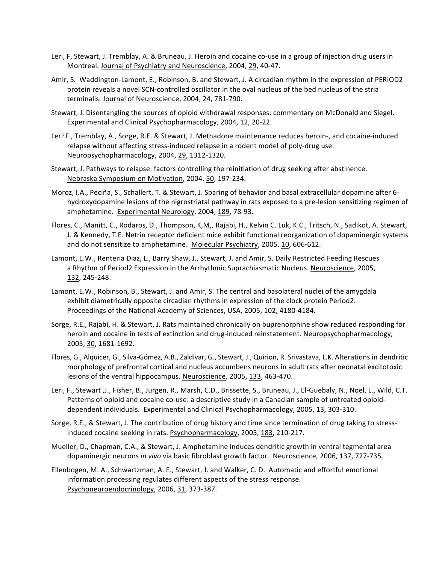- Leri, F, Stewart, J. Tremblay, A. & Bruneau, J. Heroin and cocaine co-use in a group of injection drug users in Montreal. Journal of Psychiatry and Neuroscience, 2004, 29, 40-47.
- Amir, S. Waddington-Lamont, E., Robinson, B. and Stewart, J. A circadian rhythm in the expression of PERIOD2 protein reveals a novel SCN-controlled oscillator in the oval nucleus of the bed nucleus of the stria terminalis. Journal of Neuroscience, 2004, 24, 781-790.
- Stewart, J. Disentangling the sources of opioid withdrawal responses: commentary on McDonald and Siegel. Experimental and Clinical Psychopharmacology, 2004, 12, 20-22.
- Leri' F., Tremblay, A., Sorge, R.E. & Stewart, J. Methadone maintenance reduces heroin-, and cocaine-induced relapse without affecting stress-induced relapse in a rodent model of poly-drug use. Neuropsychopharmacology, 2004, 29, 1312-1320.
- Stewart, J. Pathways to relapse: factors controlling the reinitiation of drug seeking after abstinence. Nebraska Symposium on Motivation, 2004, 50, 197-234.
- Moroz, I.A., Peciña, S., Schallert, T. & Stewart, J. Sparing of behavior and basal extracellular dopamine after 6hydroxydopamine lesions of the nigrostriatal pathway in rats exposed to a pre-lesion sensitizing regimen of amphetamine. Experimental Neurology, 2004, 189, 78-93.
- Flores, C., Manitt, C., Rodaros, D., Thompson, K,M,, Rajabi, H., Kelvin C. Luk, K.C., Tritsch, N., Sadikot, A. Stewart, J. & Kennedy, T.E. Netrin receptor deficient mice exhibit functional reorganization of dopaminergic systems and do not sensitize to amphetamine. Molecular Psychiatry, 2005, 10, 606-612.
- Lamont, E.W., Renteria Diaz, L., Barry Shaw, J., Stewart, J. and Amir, S. Daily Restricted Feeding Rescues a Rhythm of Period2 Expression in the Arrhythmic Suprachiasmatic Nucleus. Neuroscience, 2005, 132, 245-248.
- Lamont, E.W., Robinson, B., Stewart, J. and Amir, S. The central and basolateral nuclei of the amygdala exhibit diametrically opposite circadian rhythms in expression of the clock protein Period2. Proceedings of the National Academy of Sciences, USA, 2005, 102, 4180-4184.
- Sorge, R.E., Rajabi, H. & Stewart, J. Rats maintained chronically on buprenorphine show reduced responding for heroin and cocaine in tests of extinction and drug-induced reinstatement. Neuropsychopharmacology, 2005, 30, 1681-1692.
- Flores, G., Alquicer, G., Silva-Gómez, A.B., Zaldivar, G., Stewart, J., Quirion, R. Srivastava, L.K. Alterations in dendritic morphology of prefrontal cortical and nucleus accumbens neurons in adult rats after neonatal excitotoxic lesions of the ventral hippocampus. Neuroscience, 2005, 133, 463-470.
- Leri, F., Stewart ,J., Fisher, B., Jurgen, R., Marsh, C.D., Brissette, S., Bruneau, J., El-Guebaly, N., Noel, L., Wild, C.T. Patterns of opioid and cocaine co-use: a descriptive study in a Canadian sample of untreated opioiddependent individuals. Experimental and Clinical Psychopharmacology, 2005, 13, 303-310.
- Sorge, R.E., & Stewart, J. The contribution of drug history and time since termination of drug taking to stressinduced cocaine seeking in rats. Psychopharmacology, 2005, 183, 210-217.
- Mueller, D., Chapman, C.A., & Stewart, J. Amphetamine induces dendritic growth in ventral tegmental area dopaminergic neurons in vivo via basic fibroblast growth factor. Neuroscience, 2006, 137, 727-735.
- Ellenbogen, M. A., Schwartzman, A. E., Stewart, J. and Walker, C. D. Automatic and effortful emotional information processing regulates different aspects of the stress response. Psychoneuroendocrinology, 2006, 31, 373-387.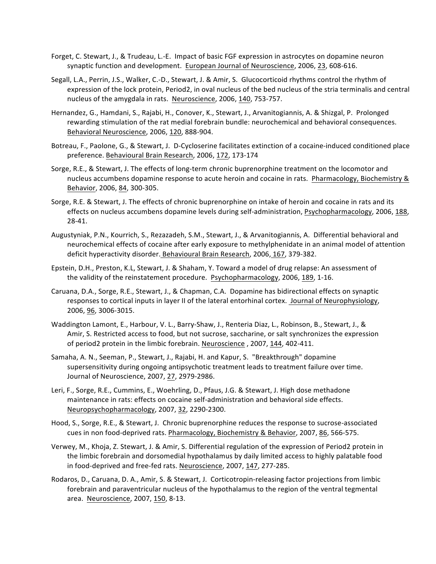- Forget, C. Stewart, J., & Trudeau, L.-E. Impact of basic FGF expression in astrocytes on dopamine neuron synaptic function and development. European Journal of Neuroscience, 2006, 23, 608-616.
- Segall, L.A., Perrin, J.S., Walker, C.-D., Stewart, J. & Amir, S. Glucocorticoid rhythms control the rhythm of expression of the lock protein, Period2, in oval nucleus of the bed nucleus of the stria terminalis and central nucleus of the amygdala in rats. Neuroscience, 2006, 140, 753-757.
- Hernandez, G., Hamdani, S., Rajabi, H., Conover, K., Stewart, J., Arvanitogiannis, A. & Shizgal, P. Prolonged rewarding stimulation of the rat medial forebrain bundle: neurochemical and behavioral consequences. Behavioral Neuroscience, 2006, 120, 888-904.
- Botreau, F., Paolone, G., & Stewart, J. D-Cycloserine facilitates extinction of a cocaine-induced conditioned place preference. Behavioural Brain Research, 2006, 172, 173-174
- Sorge, R.E., & Stewart, J. The effects of long-term chronic buprenorphine treatment on the locomotor and nucleus accumbens dopamine response to acute heroin and cocaine in rats. Pharmacology, Biochemistry & Behavior, 2006, 84, 300-305.
- Sorge, R.E. & Stewart, J. The effects of chronic buprenorphine on intake of heroin and cocaine in rats and its effects on nucleus accumbens dopamine levels during self-administration, Psychopharmacology, 2006, 188, 28-41.
- Augustyniak, P.N., Kourrich, S., Rezazadeh, S.M., Stewart, J., & Arvanitogiannis, A. Differential behavioral and neurochemical effects of cocaine after early exposure to methylphenidate in an animal model of attention deficit hyperactivity disorder. Behavioural Brain Research, 2006, 167, 379-382.
- Epstein, D.H., Preston, K.L, Stewart, J. & Shaham, Y. Toward a model of drug relapse: An assessment of the validity of the reinstatement procedure. Psychopharmacology, 2006, 189, 1-16.
- Caruana, D.A., Sorge, R.E., Stewart, J., & Chapman, C.A. Dopamine has bidirectional effects on synaptic responses to cortical inputs in layer II of the lateral entorhinal cortex. Journal of Neurophysiology, 2006, 96, 3006-3015.
- Waddington Lamont, E., Harbour, V. L., Barry-Shaw, J., Renteria Diaz, L., Robinson, B., Stewart, J., & Amir, S. Restricted access to food, but not sucrose, saccharine, or salt synchronizes the expression of period2 protein in the limbic forebrain. Neuroscience, 2007, 144, 402-411.
- Samaha, A. N., Seeman, P., Stewart, J., Rajabi, H. and Kapur, S. "Breakthrough" dopamine supersensitivity during ongoing antipsychotic treatment leads to treatment failure over time. Journal of Neuroscience, 2007, 27, 2979-2986.
- Leri, F., Sorge, R.E., Cummins, E., Woehrling, D., Pfaus, J.G. & Stewart, J. High dose methadone maintenance in rats: effects on cocaine self-administration and behavioral side effects. Neuropsychopharmacology, 2007, 32, 2290-2300.
- Hood, S., Sorge, R.E., & Stewart, J. Chronic buprenorphine reduces the response to sucrose-associated cues in non food-deprived rats. Pharmacology, Biochemistry & Behavior, 2007, 86, 566-575.
- Verwey, M., Khoja, Z. Stewart, J. & Amir, S. Differential regulation of the expression of Period2 protein in the limbic forebrain and dorsomedial hypothalamus by daily limited access to highly palatable food in food-deprived and free-fed rats. Neuroscience, 2007, 147, 277-285.
- Rodaros, D., Caruana, D. A., Amir, S. & Stewart, J. Corticotropin-releasing factor projections from limbic forebrain and paraventricular nucleus of the hypothalamus to the region of the ventral tegmental area. Neuroscience, 2007, 150, 8-13.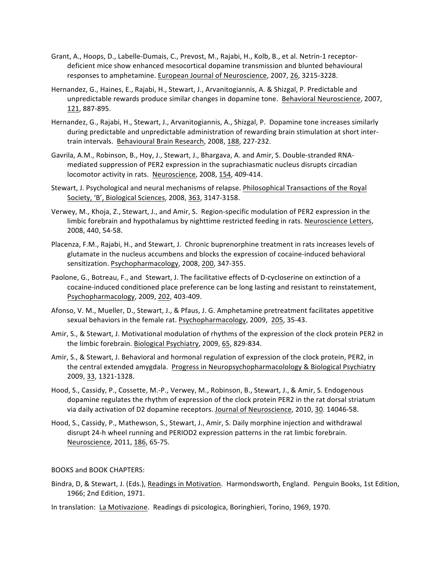- Grant, A., Hoops, D., Labelle-Dumais, C., Prevost, M., Rajabi, H., Kolb, B., et al. Netrin-1 receptordeficient mice show enhanced mesocortical dopamine transmission and blunted behavioural responses to amphetamine. European Journal of Neuroscience, 2007, 26, 3215-3228.
- Hernandez, G., Haines, E., Rajabi, H., Stewart, J., Arvanitogiannis, A. & Shizgal, P. Predictable and unpredictable rewards produce similar changes in dopamine tone. Behavioral Neuroscience, 2007, 121, 887-895.
- Hernandez, G., Rajabi, H., Stewart, J., Arvanitogiannis, A., Shizgal, P. Dopamine tone increases similarly during predictable and unpredictable administration of rewarding brain stimulation at short intertrain intervals. Behavioural Brain Research, 2008, 188, 227-232.
- Gavrila, A.M., Robinson, B., Hoy, J., Stewart, J., Bhargava, A. and Amir, S. Double-stranded RNAmediated suppression of PER2 expression in the suprachiasmatic nucleus disrupts circadian locomotor activity in rats. Neuroscience, 2008, 154, 409-414.
- Stewart, J. Psychological and neural mechanisms of relapse. Philosophical Transactions of the Royal Society, 'B', Biological Sciences, 2008, 363, 3147-3158.
- Verwey, M., Khoja, Z., Stewart, J., and Amir, S. Region-specific modulation of PER2 expression in the limbic forebrain and hypothalamus by nighttime restricted feeding in rats. Neuroscience Letters, 2008, 440, 54-58.
- Placenza, F.M., Rajabi, H., and Stewart, J. Chronic buprenorphine treatment in rats increases levels of glutamate in the nucleus accumbens and blocks the expression of cocaine-induced behavioral sensitization. Psychopharmacology, 2008, 200, 347-355.
- Paolone, G., Botreau, F., and Stewart, J. The facilitative effects of D-cycloserine on extinction of a cocaine-induced conditioned place preference can be long lasting and resistant to reinstatement, Psychopharmacology, 2009, 202, 403-409.
- Afonso, V. M., Mueller, D., Stewart, J., & Pfaus, J. G. Amphetamine pretreatment facilitates appetitive sexual behaviors in the female rat. Psychopharmacology, 2009, 205, 35-43.
- Amir, S., & Stewart, J. Motivational modulation of rhythms of the expression of the clock protein PER2 in the limbic forebrain. Biological Psychiatry, 2009, 65, 829-834.
- Amir, S., & Stewart, J. Behavioral and hormonal regulation of expression of the clock protein, PER2, in the central extended amygdala. Progress in Neuropsychopharmacolology & Biological Psychiatry 2009, 33, 1321-1328.
- Hood, S., Cassidy, P., Cossette, M.-P., Verwey, M., Robinson, B., Stewart, J., & Amir, S. Endogenous dopamine regulates the rhythm of expression of the clock protein PER2 in the rat dorsal striatum via daily activation of D2 dopamine receptors. Journal of Neuroscience, 2010, 30. 14046-58.
- Hood, S., Cassidy, P., Mathewson, S., Stewart, J., Amir, S. Daily morphine injection and withdrawal disrupt 24-h wheel running and PERIOD2 expression patterns in the rat limbic forebrain. Neuroscience, 2011, 186, 65-75.

## BOOKS and BOOK CHAPTERS:

- Bindra, D, & Stewart, J. (Eds.), Readings in Motivation. Harmondsworth, England. Penguin Books, 1st Edition, 1966; 2nd Edition, 1971.
- In translation: La Motivazione. Readings di psicologica, Boringhieri, Torino, 1969, 1970.